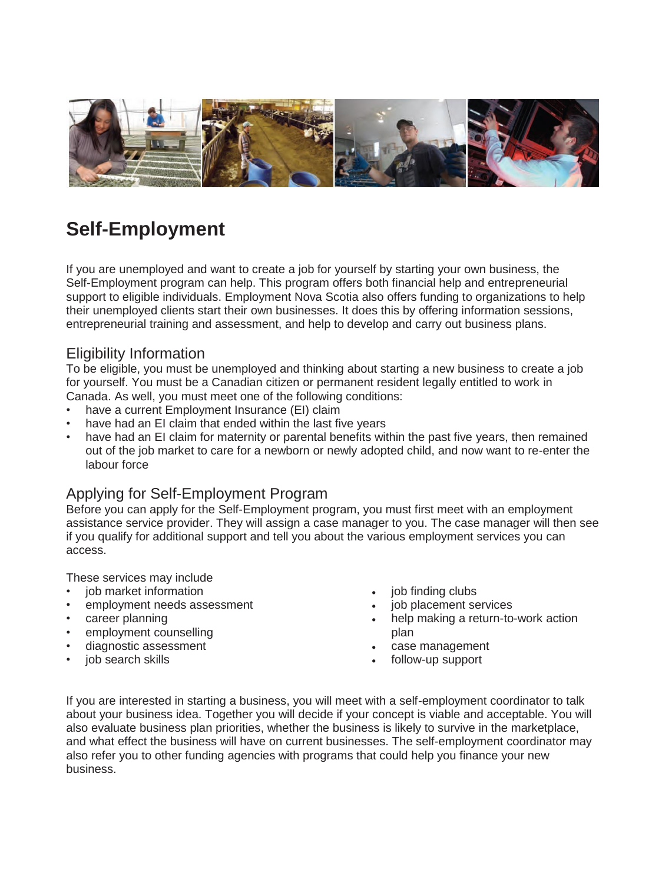

# **Self-Employment**

If you are unemployed and want to create a job for yourself by starting your own business, the Self-Employment program can help. This program offers both financial help and entrepreneurial support to eligible individuals. Employment Nova Scotia also offers funding to organizations to help their unemployed clients start their own businesses. It does this by offering information sessions, entrepreneurial training and assessment, and help to develop and carry out business plans.

# Eligibility Information

To be eligible, you must be unemployed and thinking about starting a new business to create a job for yourself. You must be a Canadian citizen or permanent resident legally entitled to work in Canada. As well, you must meet one of the following conditions:

- have a current Employment Insurance (EI) claim
- have had an EI claim that ended within the last five vears
- have had an EI claim for maternity or parental benefits within the past five years, then remained out of the job market to care for a newborn or newly adopted child, and now want to re-enter the labour force

# Applying for Self-Employment Program

Before you can apply for the Self-Employment program, you must first meet with an employment assistance service provider. They will assign a case manager to you. The case manager will then see if you qualify for additional support and tell you about the various employment services you can access.

These services may include

- iob market information
- employment needs assessment
- career planning
- employment counselling
- diagnostic assessment
- job search skills
- job finding clubs
- job placement services
- help making a return-to-work action plan
- case management
- follow-up support

If you are interested in starting a business, you will meet with a self-employment coordinator to talk about your business idea. Together you will decide if your concept is viable and acceptable. You will also evaluate business plan priorities, whether the business is likely to survive in the marketplace, and what effect the business will have on current businesses. The self-employment coordinator may also refer you to other funding agencies with programs that could help you finance your new business.